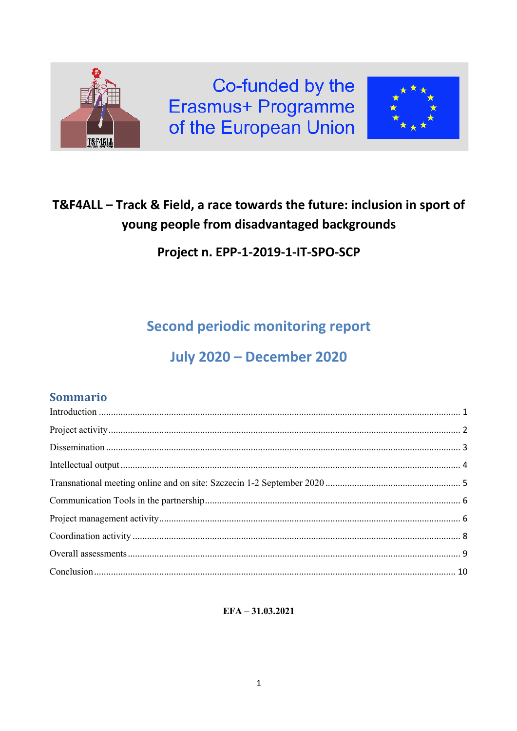

# T&F4ALL - Track & Field, a race towards the future: inclusion in sport of young people from disadvantaged backgrounds

Project n. EPP-1-2019-1-IT-SPO-SCP

**Second periodic monitoring report** 

# **July 2020 - December 2020**

# Sommario

 $EFA - 31.03.2021$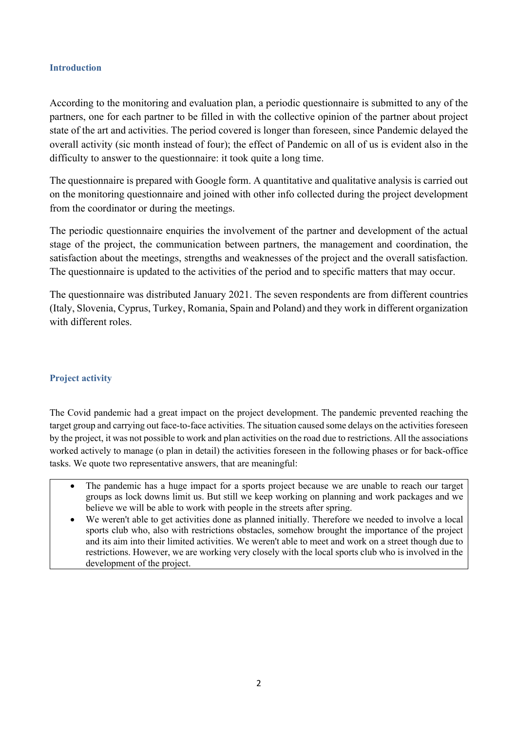### **Introduction**

According to the monitoring and evaluation plan, a periodic questionnaire is submitted to any of the partners, one for each partner to be filled in with the collective opinion of the partner about project state of the art and activities. The period covered is longer than foreseen, since Pandemic delayed the overall activity (sic month instead of four); the effect of Pandemic on all of us is evident also in the difficulty to answer to the questionnaire: it took quite a long time.

The questionnaire is prepared with Google form. A quantitative and qualitative analysis is carried out on the monitoring questionnaire and joined with other info collected during the project development from the coordinator or during the meetings.

The periodic questionnaire enquiries the involvement of the partner and development of the actual stage of the project, the communication between partners, the management and coordination, the satisfaction about the meetings, strengths and weaknesses of the project and the overall satisfaction. The questionnaire is updated to the activities of the period and to specific matters that may occur.

The questionnaire was distributed January 2021. The seven respondents are from different countries (Italy, Slovenia, Cyprus, Turkey, Romania, Spain and Poland) and they work in different organization with different roles.

## **Project activity**

The Covid pandemic had a great impact on the project development. The pandemic prevented reaching the target group and carrying out face-to-face activities. The situation caused some delays on the activities foreseen by the project, it was not possible to work and plan activities on the road due to restrictions. All the associations worked actively to manage (o plan in detail) the activities foreseen in the following phases or for back-office tasks. We quote two representative answers, that are meaningful:

- The pandemic has a huge impact for a sports project because we are unable to reach our target groups as lock downs limit us. But still we keep working on planning and work packages and we believe we will be able to work with people in the streets after spring.
- We weren't able to get activities done as planned initially. Therefore we needed to involve a local sports club who, also with restrictions obstacles, somehow brought the importance of the project and its aim into their limited activities. We weren't able to meet and work on a street though due to restrictions. However, we are working very closely with the local sports club who is involved in the development of the project.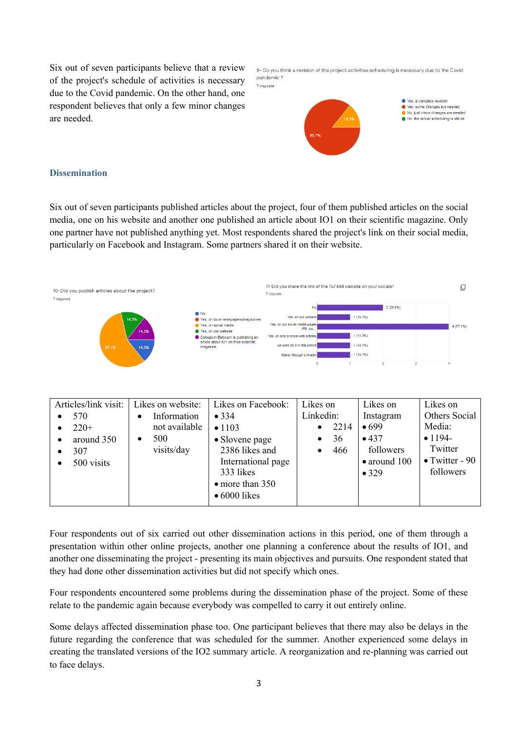Six out of seven participants believe that a review of the project's schedule of activities is necessary due to the Covid pandemic. On the other hand, one respondent believes that only a few minor changes are needed.

| 8- Do you think a revision of the project activities scheduling is necessary due to the Covid |
|-----------------------------------------------------------------------------------------------|
| pandemic ?                                                                                    |
| 7 risposte                                                                                    |



#### **Dissemination**

Six out of seven participants published articles about the project, four of them published articles on the social media, one on his website and another one published an article about IO1 on their scientific magazine. Only one partner have not published anything yet. Most respondents shared the project's link on their social media, particularly on Facebook and Instagram. Some partners shared it on their website.

| 10-Did you publish articles about the project?<br>7 risposte |                                                                                                                                                                                               | 7 risposte                                                                                                                                                                          | 11-Did you share the link of the T&F4All website on your socials? |                              | ப        |
|--------------------------------------------------------------|-----------------------------------------------------------------------------------------------------------------------------------------------------------------------------------------------|-------------------------------------------------------------------------------------------------------------------------------------------------------------------------------------|-------------------------------------------------------------------|------------------------------|----------|
| 14,3%<br>14,3%<br>57,1%<br>14.3%                             | $\bullet$ No<br>Yes, on local newspapers/magazines<br>Yes, on social media<br>Yes, on our website<br>Collegium Balticum is publishing an<br>article about IO1 on their scientific<br>magazine | No.<br>Yes, on our website<br>Yes, on our social media pages<br>(FB, Ins.,<br>Yes, on one or more web articles<br>we want do it in this period<br>Mainly through Linkedin<br>$\Box$ | $-1(14,3%)$<br>$-1(14,3\%)$<br>$-1(14,3%)$<br>$-1(14,3%)$         | $-2(28,6%)$<br>$\mathcal{L}$ | 4(57,1%) |

| Articles/link visit:<br>570<br>$220+$<br>around 350<br>307<br>500 visits | Likes on website:<br>Information<br>$\bullet$<br>not available<br>500<br>$\bullet$<br>visits/day | Likes on Facebook:<br>$\bullet$ 334<br>• 1103<br>• Slovene page<br>2386 likes and<br>International page<br>333 likes<br>$\bullet$ more than 350<br>$\bullet$ 6000 likes | Likes on<br>Linkedin:<br>2214<br>$\bullet$<br>36<br>$\bullet$<br>466 | Likes on<br>Instagram<br>•699<br>•437<br>followers<br>$\bullet$ around 100<br>$\bullet$ 329 | Likes on<br>Others Social<br>Media:<br>$• 1194 -$<br>Twitter<br>$\bullet$ Twitter - 90<br>followers |
|--------------------------------------------------------------------------|--------------------------------------------------------------------------------------------------|-------------------------------------------------------------------------------------------------------------------------------------------------------------------------|----------------------------------------------------------------------|---------------------------------------------------------------------------------------------|-----------------------------------------------------------------------------------------------------|
|--------------------------------------------------------------------------|--------------------------------------------------------------------------------------------------|-------------------------------------------------------------------------------------------------------------------------------------------------------------------------|----------------------------------------------------------------------|---------------------------------------------------------------------------------------------|-----------------------------------------------------------------------------------------------------|

Four respondents out of six carried out other dissemination actions in this period, one of them through a presentation within other online projects, another one planning a conference about the results of IO1, and another one disseminating the project - presenting its main objectives and pursuits. One respondent stated that they had done other dissemination activities but did not specify which ones.

Four respondents encountered some problems during the dissemination phase of the project. Some of these relate to the pandemic again because everybody was compelled to carry it out entirely online.

Some delays affected dissemination phase too. One participant believes that there may also be delays in the future regarding the conference that was scheduled for the summer. Another experienced some delays in creating the translated versions of the IO2 summary article. A reorganization and re-planning was carried out to face delays.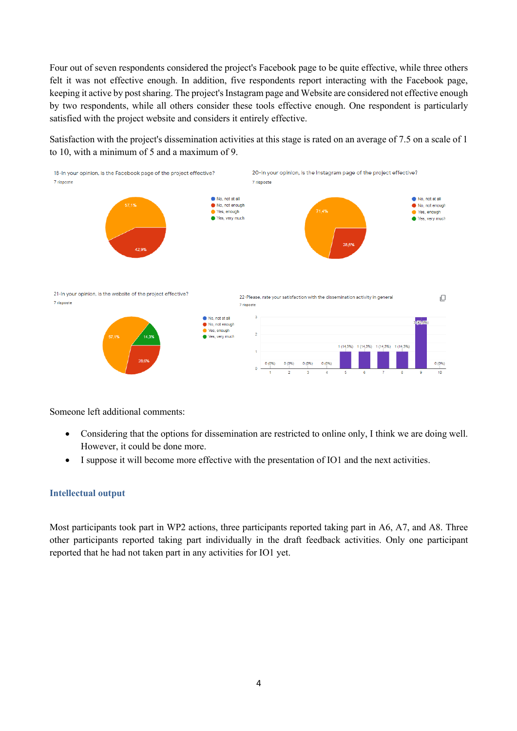Four out of seven respondents considered the project's Facebook page to be quite effective, while three others felt it was not effective enough. In addition, five respondents report interacting with the Facebook page, keeping it active by post sharing. The project's Instagram page and Website are considered not effective enough by two respondents, while all others consider these tools effective enough. One respondent is particularly satisfied with the project website and considers it entirely effective.

Satisfaction with the project's dissemination activities at this stage is rated on an average of 7.5 on a scale of 1 to 10, with a minimum of 5 and a maximum of 9.



Someone left additional comments:

- Considering that the options for dissemination are restricted to online only, I think we are doing well. However, it could be done more.
- I suppose it will become more effective with the presentation of IO1 and the next activities.

#### **Intellectual output**

Most participants took part in WP2 actions, three participants reported taking part in A6, A7, and A8. Three other participants reported taking part individually in the draft feedback activities. Only one participant reported that he had not taken part in any activities for IO1 yet.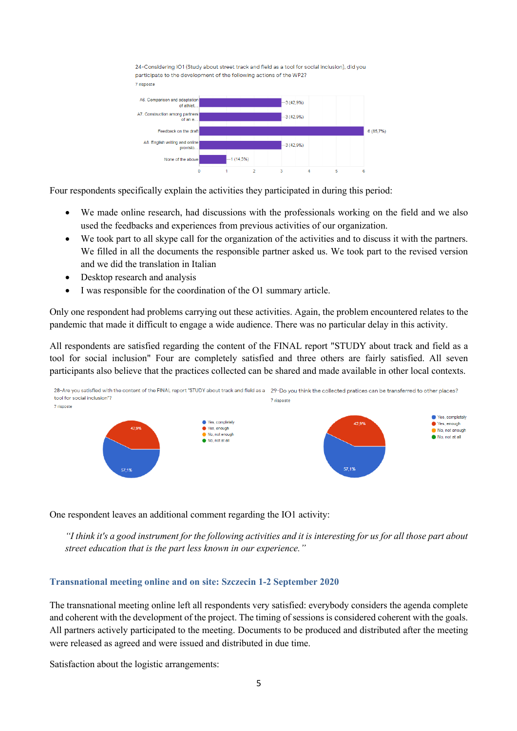



Four respondents specifically explain the activities they participated in during this period:

- We made online research, had discussions with the professionals working on the field and we also used the feedbacks and experiences from previous activities of our organization.
- We took part to all skype call for the organization of the activities and to discuss it with the partners. We filled in all the documents the responsible partner asked us. We took part to the revised version and we did the translation in Italian
- Desktop research and analysis
- I was responsible for the coordination of the O1 summary article.

Only one respondent had problems carrying out these activities. Again, the problem encountered relates to the pandemic that made it difficult to engage a wide audience. There was no particular delay in this activity.

All respondents are satisfied regarding the content of the FINAL report "STUDY about track and field as a tool for social inclusion" Four are completely satisfied and three others are fairly satisfied. All seven participants also believe that the practices collected can be shared and made available in other local contexts.



One respondent leaves an additional comment regarding the IO1 activity:

*"I think it's a good instrument for the following activities and it is interesting for us for all those part about street education that is the part less known in our experience."*

#### **Transnational meeting online and on site: Szczecin 1-2 September 2020**

The transnational meeting online left all respondents very satisfied: everybody considers the agenda complete and coherent with the development of the project. The timing of sessions is considered coherent with the goals. All partners actively participated to the meeting. Documents to be produced and distributed after the meeting were released as agreed and were issued and distributed in due time.

Satisfaction about the logistic arrangements: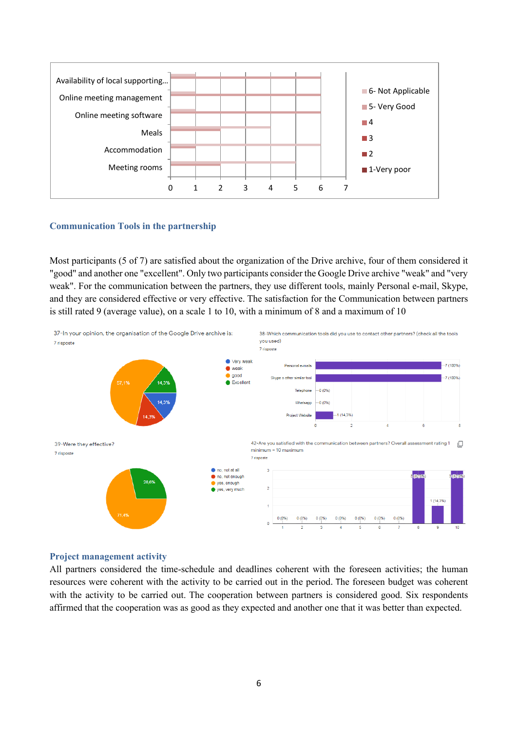

#### **Communication Tools in the partnership**

Most participants (5 of 7) are satisfied about the organization of the Drive archive, four of them considered it "good" and another one "excellent". Only two participants consider the Google Drive archive "weak" and "very weak". For the communication between the partners, they use different tools, mainly Personal e-mail, Skype, and they are considered effective or very effective. The satisfaction for the Communication between partners is still rated 9 (average value), on a scale 1 to 10, with a minimum of 8 and a maximum of 10



#### **Project management activity**

All partners considered the time-schedule and deadlines coherent with the foreseen activities; the human resources were coherent with the activity to be carried out in the period. The foreseen budget was coherent with the activity to be carried out. The cooperation between partners is considered good. Six respondents affirmed that the cooperation was as good as they expected and another one that it was better than expected.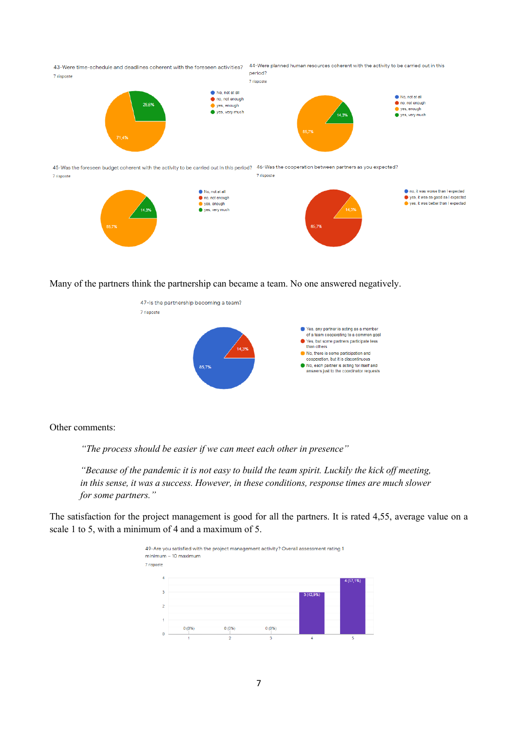

45-Was the foreseen budget coherent with the activity to be carried out in this period? 46-Was the cooperation between partners as you expected? 7 risposte 7 risposte



Many of the partners think the partnership can became a team. No one answered negatively.



Other comments:

*"The process should be easier if we can meet each other in presence"*

*"Because of the pandemic it is not easy to build the team spirit. Luckily the kick off meeting, in this sense, it was a success. However, in these conditions, response times are much slower for some partners."*

The satisfaction for the project management is good for all the partners. It is rated 4,55, average value on a scale 1 to 5, with a minimum of 4 and a maximum of 5.

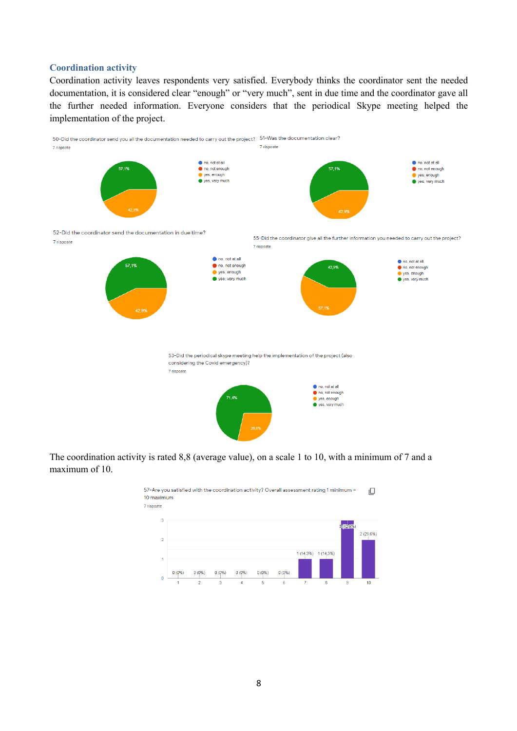#### **Coordination activity**

Coordination activity leaves respondents very satisfied. Everybody thinks the coordinator sent the needed documentation, it is considered clear "enough" or "very much", sent in due time and the coordinator gave all the further needed information. Everyone considers that the periodical Skype meeting helped the implementation of the project.



The coordination activity is rated 8,8 (average value), on a scale 1 to 10, with a minimum of 7 and a maximum of 10.

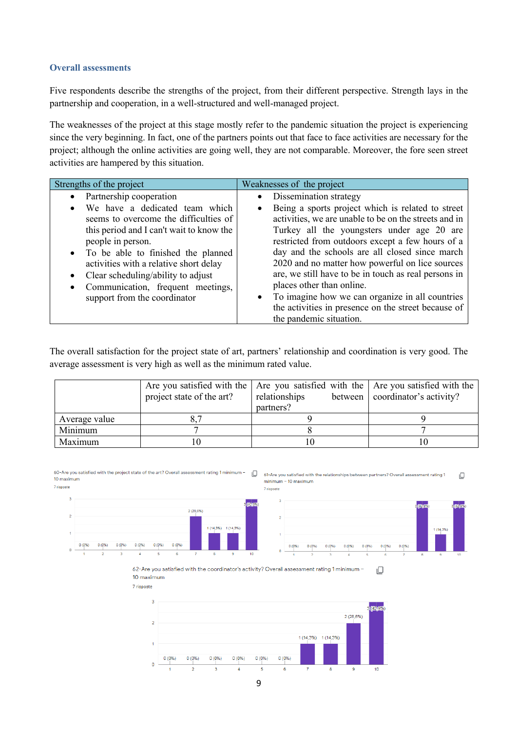#### **Overall assessments**

Five respondents describe the strengths of the project, from their different perspective. Strength lays in the partnership and cooperation, in a well-structured and well-managed project.

The weaknesses of the project at this stage mostly refer to the pandemic situation the project is experiencing since the very beginning. In fact, one of the partners points out that face to face activities are necessary for the project; although the online activities are going well, they are not comparable. Moreover, the fore seen street activities are hampered by this situation.

| Strengths of the project                                                                                                                                                                                                                                                                                                                                                     | Weaknesses of the project                                                                                                                                                                                                                                                                                                                                                                                                                                                                                                                  |
|------------------------------------------------------------------------------------------------------------------------------------------------------------------------------------------------------------------------------------------------------------------------------------------------------------------------------------------------------------------------------|--------------------------------------------------------------------------------------------------------------------------------------------------------------------------------------------------------------------------------------------------------------------------------------------------------------------------------------------------------------------------------------------------------------------------------------------------------------------------------------------------------------------------------------------|
| • Partnership cooperation                                                                                                                                                                                                                                                                                                                                                    | Dissemination strategy<br>$\bullet$                                                                                                                                                                                                                                                                                                                                                                                                                                                                                                        |
| We have a dedicated team which<br>$\bullet$<br>seems to overcome the difficulties of<br>this period and I can't wait to know the<br>people in person.<br>• To be able to finished the planned<br>activities with a relative short delay<br>Clear scheduling/ability to adjust<br>$\bullet$<br>Communication, frequent meetings,<br>$\bullet$<br>support from the coordinator | Being a sports project which is related to street<br>$\bullet$<br>activities, we are unable to be on the streets and in<br>Turkey all the youngsters under age 20 are<br>restricted from outdoors except a few hours of a<br>day and the schools are all closed since march<br>2020 and no matter how powerful on lice sources<br>are, we still have to be in touch as real persons in<br>places other than online.<br>To imagine how we can organize in all countries<br>$\bullet$<br>the activities in presence on the street because of |
|                                                                                                                                                                                                                                                                                                                                                                              | the pandemic situation.                                                                                                                                                                                                                                                                                                                                                                                                                                                                                                                    |

The overall satisfaction for the project state of art, partners' relationship and coordination is very good. The average assessment is very high as well as the minimum rated value.

|               | project state of the art? | Are you satisfied with the $\vert$ Are you satisfied with the $\vert$ Are you satisfied with the<br>relationships<br>partners? | between   coordinator's activity? |
|---------------|---------------------------|--------------------------------------------------------------------------------------------------------------------------------|-----------------------------------|
| Average value |                           |                                                                                                                                |                                   |
| Minimum       |                           |                                                                                                                                |                                   |
| Maximum       |                           |                                                                                                                                |                                   |

60-Are you satisfied with the project state of the art? Overall assessment rating 1 minimum - $\Box$ 10 maximum 7 rienneta

61-Are you satisfied with the relationships between partners? Overall assessment rating 1  $\Box$  $minimum - 10 maximum$ 



62-Are you satisfied with the coordinator's activity? Overall assessment rating 1 minimum  $\Box$ 10 maximum